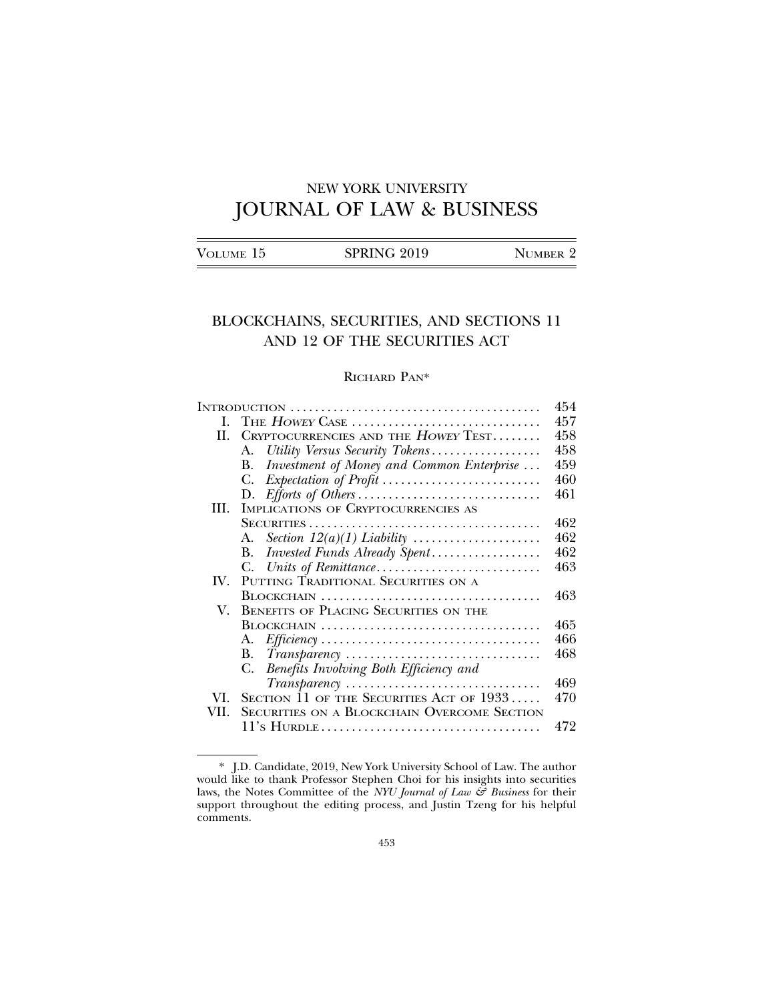# NEW YORK UNIVERSITY JOURNAL OF LAW & BUSINESS

|--|

## BLOCKCHAINS, SECURITIES, AND SECTIONS 11 AND 12 OF THE SECURITIES ACT

## RICHARD PAN\*

|      |                                                                                        | 454 |
|------|----------------------------------------------------------------------------------------|-----|
| L    | THE $However$ CASE $\dots \dots \dots \dots \dots \dots \dots \dots \dots \dots \dots$ | 457 |
| H.   | CRYPTOCURRENCIES AND THE HOWEY TEST                                                    | 458 |
|      | Utility Versus Security Tokens<br>А.                                                   | 458 |
|      | Investment of Money and Common Enterprise<br>B.                                        | 459 |
|      | C.                                                                                     | 460 |
|      |                                                                                        | 461 |
| HI.  | IMPLICATIONS OF CRYPTOCURRENCIES AS                                                    |     |
|      |                                                                                        | 462 |
|      | А.                                                                                     | 462 |
|      | Invested Funds Already Spent<br>В.                                                     | 462 |
|      | C.                                                                                     | 463 |
| IV.  | PUTTING TRADITIONAL SECURITIES ON A                                                    |     |
|      |                                                                                        | 463 |
| V.   | BENEFITS OF PLACING SECURITIES ON THE                                                  |     |
|      |                                                                                        | 465 |
|      |                                                                                        | 466 |
|      |                                                                                        | 468 |
|      | C. Benefits Involving Both Efficiency and                                              |     |
|      |                                                                                        | 469 |
| VI.  | SECTION $11$ of the Securities Act of $1933$                                           | 470 |
| VII. | <b>SECURITIES ON A BLOCKCHAIN OVERCOME SECTION</b>                                     |     |
|      |                                                                                        | 472 |

<sup>\*</sup> J.D. Candidate, 2019, New York University School of Law. The author would like to thank Professor Stephen Choi for his insights into securities laws, the Notes Committee of the *NYU Journal of Law & Business* for their support throughout the editing process, and Justin Tzeng for his helpful comments.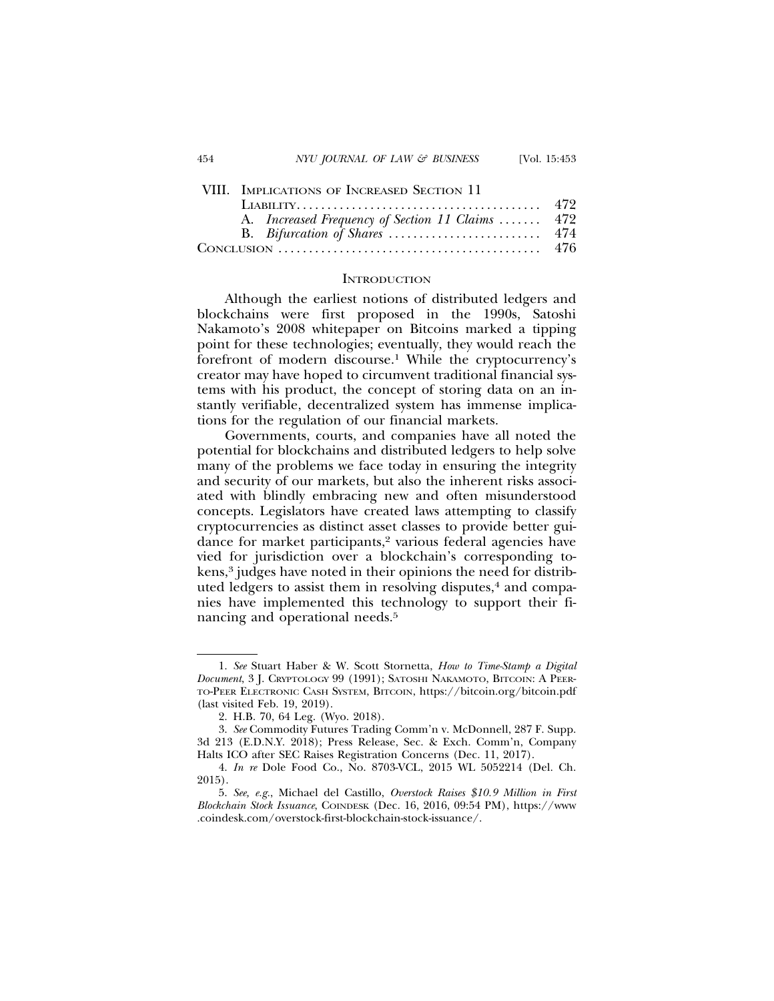## VIII. IMPLICATIONS OF INCREASED SECTION 11

| A. Increased Frequency of Section 11 Claims  472                                                     |  |
|------------------------------------------------------------------------------------------------------|--|
|                                                                                                      |  |
| CONCLUSION $\ldots \ldots \ldots \ldots \ldots \ldots \ldots \ldots \ldots \ldots \ldots \ldots$ 476 |  |

#### **INTRODUCTION**

Although the earliest notions of distributed ledgers and blockchains were first proposed in the 1990s, Satoshi Nakamoto's 2008 whitepaper on Bitcoins marked a tipping point for these technologies; eventually, they would reach the forefront of modern discourse.<sup>1</sup> While the cryptocurrency's creator may have hoped to circumvent traditional financial systems with his product, the concept of storing data on an instantly verifiable, decentralized system has immense implications for the regulation of our financial markets.

Governments, courts, and companies have all noted the potential for blockchains and distributed ledgers to help solve many of the problems we face today in ensuring the integrity and security of our markets, but also the inherent risks associated with blindly embracing new and often misunderstood concepts. Legislators have created laws attempting to classify cryptocurrencies as distinct asset classes to provide better guidance for market participants,<sup>2</sup> various federal agencies have vied for jurisdiction over a blockchain's corresponding tokens,<sup>3</sup> judges have noted in their opinions the need for distributed ledgers to assist them in resolving disputes,<sup>4</sup> and companies have implemented this technology to support their financing and operational needs.5

<sup>1.</sup> *See* Stuart Haber & W. Scott Stornetta, *How to Time-Stamp a Digital Document*, 3 J. CRYPTOLOGY 99 (1991); SATOSHI NAKAMOTO, BITCOIN: A PEER-TO-PEER ELECTRONIC CASH SYSTEM, BITCOIN, https://bitcoin.org/bitcoin.pdf (last visited Feb. 19, 2019).

<sup>2.</sup> H.B. 70, 64 Leg. (Wyo. 2018).

<sup>3.</sup> *See* Commodity Futures Trading Comm'n v. McDonnell, 287 F. Supp. 3d 213 (E.D.N.Y. 2018); Press Release, Sec. & Exch. Comm'n, Company Halts ICO after SEC Raises Registration Concerns (Dec. 11, 2017).

<sup>4.</sup> *In re* Dole Food Co., No. 8703-VCL, 2015 WL 5052214 (Del. Ch. 2015).

<sup>5.</sup> *See, e.g.*, Michael del Castillo, *Overstock Raises \$10.9 Million in First Blockchain Stock Issuance*, COINDESK (Dec. 16, 2016, 09:54 PM), https://www .coindesk.com/overstock-first-blockchain-stock-issuance/.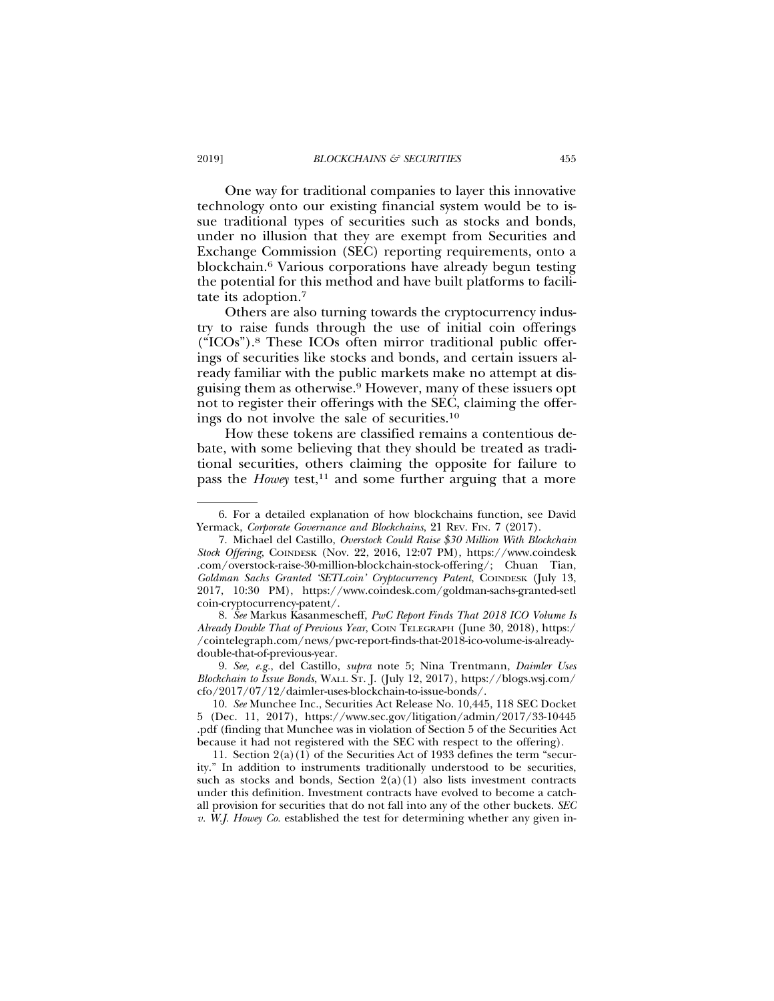One way for traditional companies to layer this innovative technology onto our existing financial system would be to issue traditional types of securities such as stocks and bonds, under no illusion that they are exempt from Securities and Exchange Commission (SEC) reporting requirements, onto a blockchain.6 Various corporations have already begun testing the potential for this method and have built platforms to facilitate its adoption.7

Others are also turning towards the cryptocurrency industry to raise funds through the use of initial coin offerings ("ICOs").8 These ICOs often mirror traditional public offerings of securities like stocks and bonds, and certain issuers already familiar with the public markets make no attempt at disguising them as otherwise.9 However, many of these issuers opt not to register their offerings with the SEC, claiming the offerings do not involve the sale of securities.10

How these tokens are classified remains a contentious debate, with some believing that they should be treated as traditional securities, others claiming the opposite for failure to pass the *Howey* test,<sup>11</sup> and some further arguing that a more

8. *See* Markus Kasanmescheff, *PwC Report Finds That 2018 ICO Volume Is Already Double That of Previous Year*, COIN TELEGRAPH (June 30, 2018), https:/ /cointelegraph.com/news/pwc-report-finds-that-2018-ico-volume-is-alreadydouble-that-of-previous-year.

9. *See, e.g.*, del Castillo, *supra* note 5; Nina Trentmann, *Daimler Uses Blockchain to Issue Bonds*, WALL ST. J. (July 12, 2017), https://blogs.wsj.com/ cfo/2017/07/12/daimler-uses-blockchain-to-issue-bonds/.

10. *See* Munchee Inc., Securities Act Release No. 10,445, 118 SEC Docket 5 (Dec. 11, 2017), https://www.sec.gov/litigation/admin/2017/33-10445 .pdf (finding that Munchee was in violation of Section 5 of the Securities Act because it had not registered with the SEC with respect to the offering).

11. Section 2(a)(1) of the Securities Act of 1933 defines the term "security." In addition to instruments traditionally understood to be securities, such as stocks and bonds, Section  $2(a)(1)$  also lists investment contracts under this definition. Investment contracts have evolved to become a catchall provision for securities that do not fall into any of the other buckets. *SEC v. W.J. Howey Co.* established the test for determining whether any given in-

<sup>6.</sup> For a detailed explanation of how blockchains function, see David Yermack, *Corporate Governance and Blockchains*, 21 REV. FIN. 7 (2017).

<sup>7.</sup> Michael del Castillo, *Overstock Could Raise \$30 Million With Blockchain Stock Offering*, COINDESK (Nov. 22, 2016, 12:07 PM), https://www.coindesk .com/overstock-raise-30-million-blockchain-stock-offering/; Chuan Tian, *Goldman Sachs Granted 'SETLcoin' Cryptocurrency Patent*, COINDESK (July 13, 2017, 10:30 PM), https://www.coindesk.com/goldman-sachs-granted-setl coin-cryptocurrency-patent/.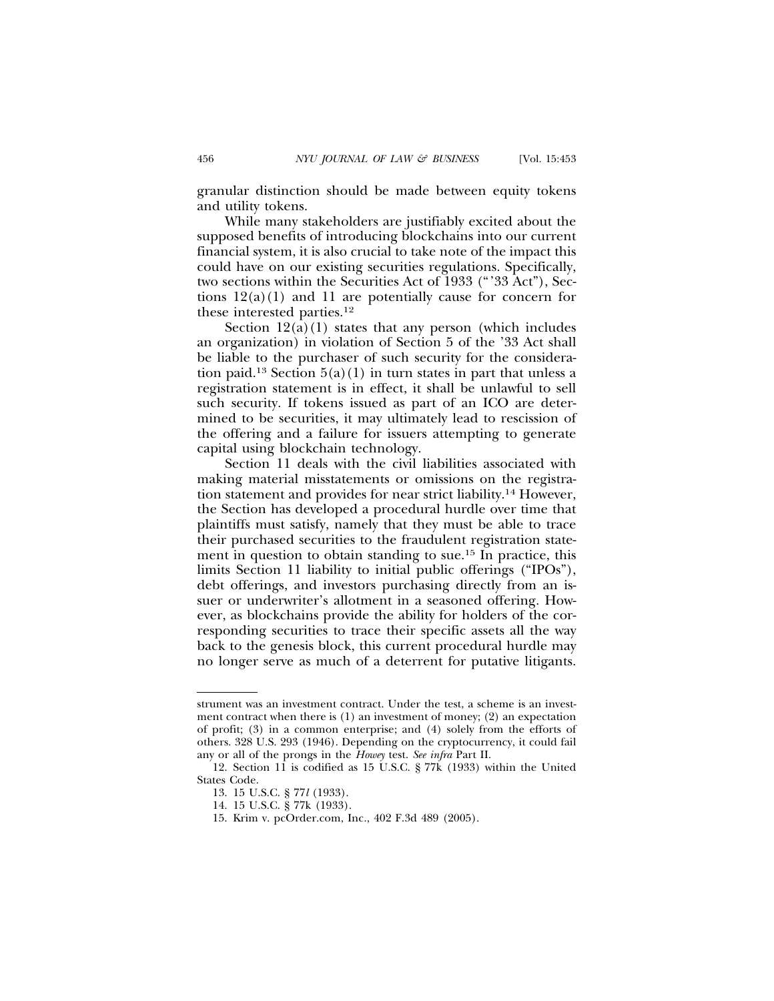granular distinction should be made between equity tokens and utility tokens.

While many stakeholders are justifiably excited about the supposed benefits of introducing blockchains into our current financial system, it is also crucial to take note of the impact this could have on our existing securities regulations. Specifically, two sections within the Securities Act of 1933 ("'33 Act"), Sections  $12(a)(1)$  and 11 are potentially cause for concern for these interested parties.12

Section  $12(a)(1)$  states that any person (which includes an organization) in violation of Section 5 of the '33 Act shall be liable to the purchaser of such security for the consideration paid.<sup>13</sup> Section  $5(a)(1)$  in turn states in part that unless a registration statement is in effect, it shall be unlawful to sell such security. If tokens issued as part of an ICO are determined to be securities, it may ultimately lead to rescission of the offering and a failure for issuers attempting to generate capital using blockchain technology.

Section 11 deals with the civil liabilities associated with making material misstatements or omissions on the registration statement and provides for near strict liability.14 However, the Section has developed a procedural hurdle over time that plaintiffs must satisfy, namely that they must be able to trace their purchased securities to the fraudulent registration statement in question to obtain standing to sue.15 In practice, this limits Section 11 liability to initial public offerings ("IPOs"), debt offerings, and investors purchasing directly from an issuer or underwriter's allotment in a seasoned offering. However, as blockchains provide the ability for holders of the corresponding securities to trace their specific assets all the way back to the genesis block, this current procedural hurdle may no longer serve as much of a deterrent for putative litigants.

strument was an investment contract. Under the test, a scheme is an investment contract when there is (1) an investment of money; (2) an expectation of profit; (3) in a common enterprise; and (4) solely from the efforts of others. 328 U.S. 293 (1946). Depending on the cryptocurrency, it could fail any or all of the prongs in the *Howey* test. *See infra* Part II.

<sup>12.</sup> Section 11 is codified as 15 U.S.C. § 77k (1933) within the United States Code.

<sup>13. 15</sup> U.S.C. § 77*l* (1933).

<sup>14. 15</sup> U.S.C. § 77k (1933).

<sup>15.</sup> Krim v. pcOrder.com, Inc., 402 F.3d 489 (2005).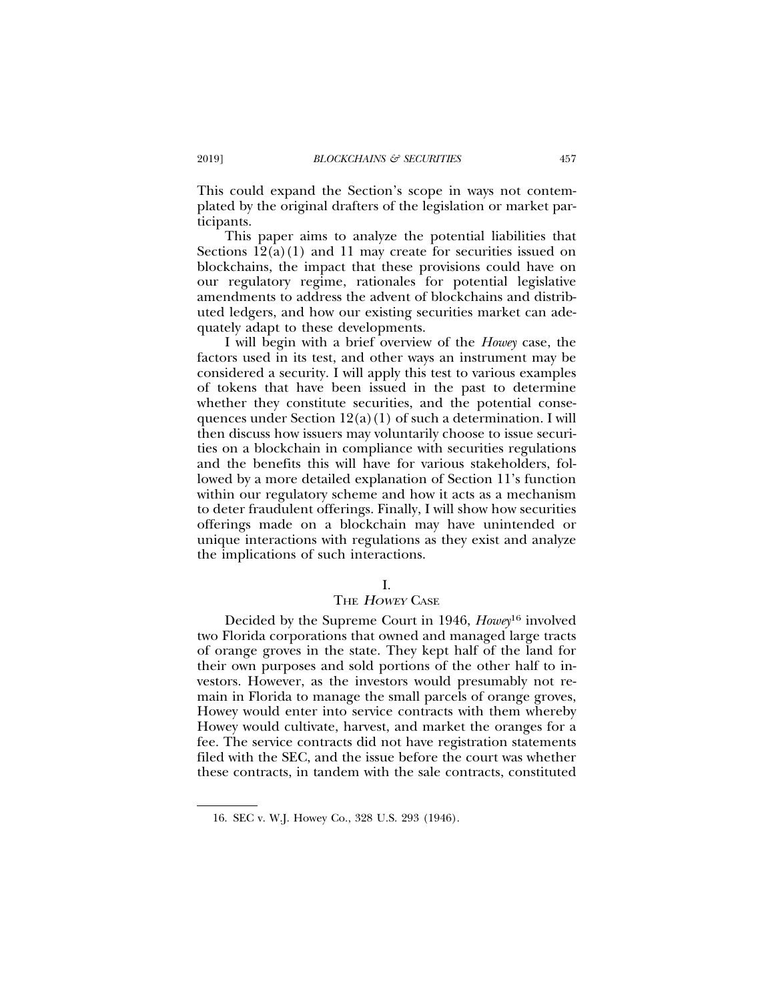This could expand the Section's scope in ways not contemplated by the original drafters of the legislation or market participants.

This paper aims to analyze the potential liabilities that Sections  $12(a)(1)$  and 11 may create for securities issued on blockchains, the impact that these provisions could have on our regulatory regime, rationales for potential legislative amendments to address the advent of blockchains and distributed ledgers, and how our existing securities market can adequately adapt to these developments.

I will begin with a brief overview of the *Howey* case, the factors used in its test, and other ways an instrument may be considered a security. I will apply this test to various examples of tokens that have been issued in the past to determine whether they constitute securities, and the potential consequences under Section  $12(a)(1)$  of such a determination. I will then discuss how issuers may voluntarily choose to issue securities on a blockchain in compliance with securities regulations and the benefits this will have for various stakeholders, followed by a more detailed explanation of Section 11's function within our regulatory scheme and how it acts as a mechanism to deter fraudulent offerings. Finally, I will show how securities offerings made on a blockchain may have unintended or unique interactions with regulations as they exist and analyze the implications of such interactions.

## I.

## THE HOWEY CASE

Decided by the Supreme Court in 1946, *Howey*16 involved two Florida corporations that owned and managed large tracts of orange groves in the state. They kept half of the land for their own purposes and sold portions of the other half to investors. However, as the investors would presumably not remain in Florida to manage the small parcels of orange groves, Howey would enter into service contracts with them whereby Howey would cultivate, harvest, and market the oranges for a fee. The service contracts did not have registration statements filed with the SEC, and the issue before the court was whether these contracts, in tandem with the sale contracts, constituted

<sup>16.</sup> SEC v. W.J. Howey Co., 328 U.S. 293 (1946).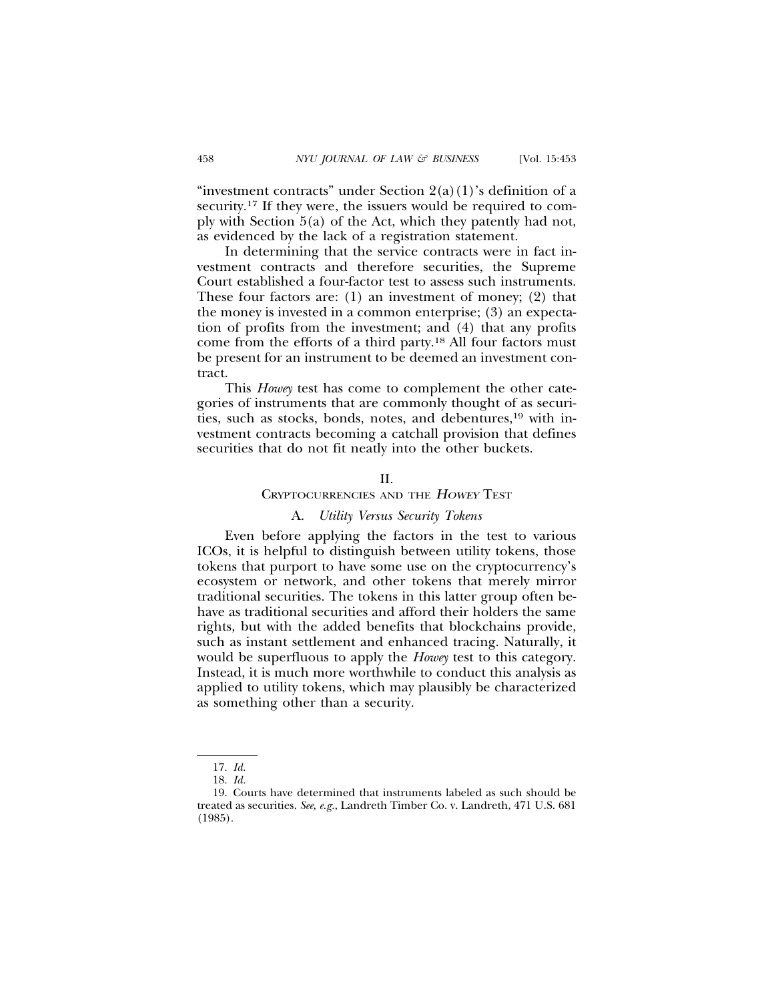"investment contracts" under Section  $2(a)(1)$ 's definition of a security.17 If they were, the issuers would be required to comply with Section 5(a) of the Act, which they patently had not, as evidenced by the lack of a registration statement.

In determining that the service contracts were in fact investment contracts and therefore securities, the Supreme Court established a four-factor test to assess such instruments. These four factors are: (1) an investment of money; (2) that the money is invested in a common enterprise; (3) an expectation of profits from the investment; and (4) that any profits come from the efforts of a third party.18 All four factors must be present for an instrument to be deemed an investment contract.

This *Howey* test has come to complement the other categories of instruments that are commonly thought of as securities, such as stocks, bonds, notes, and debentures,<sup>19</sup> with investment contracts becoming a catchall provision that defines securities that do not fit neatly into the other buckets.

## $II$ .

## CRYPTOCURRENCIES AND THE <sup>H</sup>OWEY TEST

#### A. *Utility Versus Security Tokens*

Even before applying the factors in the test to various ICOs, it is helpful to distinguish between utility tokens, those tokens that purport to have some use on the cryptocurrency's ecosystem or network, and other tokens that merely mirror traditional securities. The tokens in this latter group often behave as traditional securities and afford their holders the same rights, but with the added benefits that blockchains provide, such as instant settlement and enhanced tracing. Naturally, it would be superfluous to apply the *Howey* test to this category. Instead, it is much more worthwhile to conduct this analysis as applied to utility tokens, which may plausibly be characterized as something other than a security.

<sup>17.</sup> *Id.*

<sup>18.</sup> *Id.*

<sup>19.</sup> Courts have determined that instruments labeled as such should be treated as securities. *See, e.g.*, Landreth Timber Co. v. Landreth, 471 U.S. 681 (1985).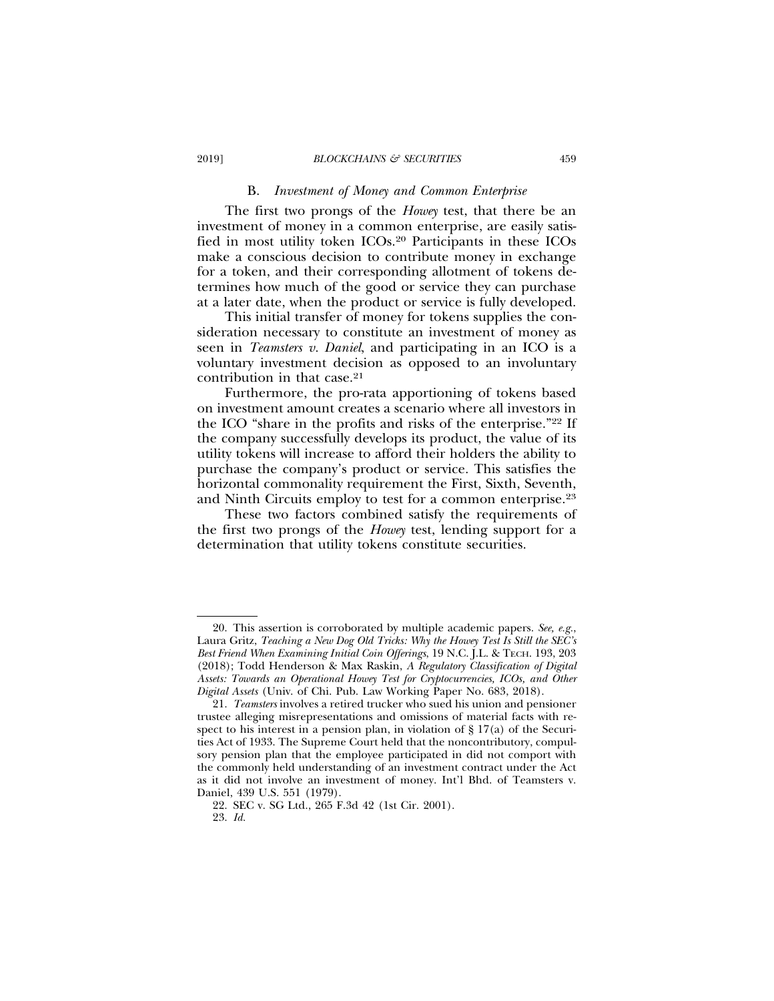#### B. *Investment of Money and Common Enterprise*

The first two prongs of the *Howey* test, that there be an investment of money in a common enterprise, are easily satisfied in most utility token ICOs.20 Participants in these ICOs make a conscious decision to contribute money in exchange for a token, and their corresponding allotment of tokens determines how much of the good or service they can purchase at a later date, when the product or service is fully developed.

This initial transfer of money for tokens supplies the consideration necessary to constitute an investment of money as seen in *Teamsters v. Daniel*, and participating in an ICO is a voluntary investment decision as opposed to an involuntary contribution in that case.21

Furthermore, the pro-rata apportioning of tokens based on investment amount creates a scenario where all investors in the ICO "share in the profits and risks of the enterprise."22 If the company successfully develops its product, the value of its utility tokens will increase to afford their holders the ability to purchase the company's product or service. This satisfies the horizontal commonality requirement the First, Sixth, Seventh, and Ninth Circuits employ to test for a common enterprise.23

These two factors combined satisfy the requirements of the first two prongs of the *Howey* test, lending support for a determination that utility tokens constitute securities.

<sup>20.</sup> This assertion is corroborated by multiple academic papers. *See, e.g.*, Laura Gritz, *Teaching a New Dog Old Tricks: Why the Howey Test Is Still the SEC's Best Friend When Examining Initial Coin Offerings*, 19 N.C. J.L. & TECH. 193, 203 (2018); Todd Henderson & Max Raskin, *A Regulatory Classification of Digital Assets: Towards an Operational Howey Test for Cryptocurrencies, ICOs, and Other Digital Assets* (Univ. of Chi. Pub. Law Working Paper No. 683, 2018).

<sup>21.</sup> *Teamsters* involves a retired trucker who sued his union and pensioner trustee alleging misrepresentations and omissions of material facts with respect to his interest in a pension plan, in violation of  $\S 17(a)$  of the Securities Act of 1933. The Supreme Court held that the noncontributory, compulsory pension plan that the employee participated in did not comport with the commonly held understanding of an investment contract under the Act as it did not involve an investment of money. Int'l Bhd. of Teamsters v. Daniel, 439 U.S. 551 (1979).

<sup>22.</sup> SEC v. SG Ltd., 265 F.3d 42 (1st Cir. 2001).

<sup>23.</sup> *Id.*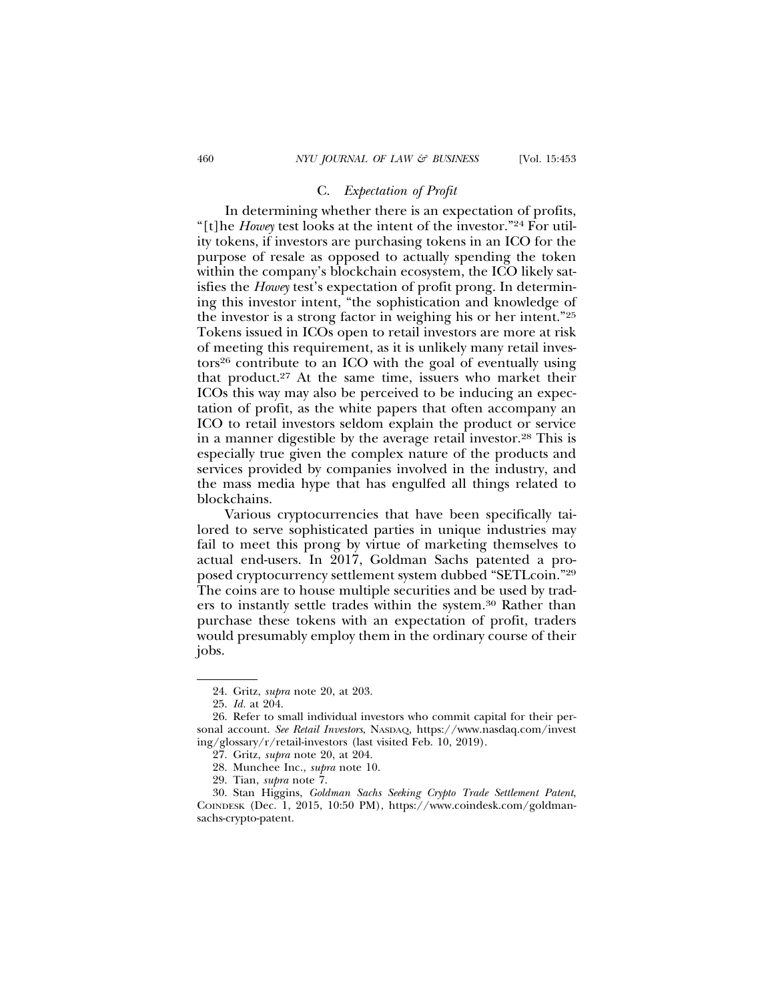#### C. *Expectation of Profit*

In determining whether there is an expectation of profits, "[t]he *Howey* test looks at the intent of the investor."24 For utility tokens, if investors are purchasing tokens in an ICO for the purpose of resale as opposed to actually spending the token within the company's blockchain ecosystem, the ICO likely satisfies the *Howey* test's expectation of profit prong. In determining this investor intent, "the sophistication and knowledge of the investor is a strong factor in weighing his or her intent."25 Tokens issued in ICOs open to retail investors are more at risk of meeting this requirement, as it is unlikely many retail investors26 contribute to an ICO with the goal of eventually using that product.27 At the same time, issuers who market their ICOs this way may also be perceived to be inducing an expectation of profit, as the white papers that often accompany an ICO to retail investors seldom explain the product or service in a manner digestible by the average retail investor.28 This is especially true given the complex nature of the products and services provided by companies involved in the industry, and the mass media hype that has engulfed all things related to blockchains.

Various cryptocurrencies that have been specifically tailored to serve sophisticated parties in unique industries may fail to meet this prong by virtue of marketing themselves to actual end-users. In 2017, Goldman Sachs patented a proposed cryptocurrency settlement system dubbed "SETLcoin."29 The coins are to house multiple securities and be used by traders to instantly settle trades within the system.30 Rather than purchase these tokens with an expectation of profit, traders would presumably employ them in the ordinary course of their jobs.

<sup>24.</sup> Gritz, *supra* note 20, at 203.

<sup>25.</sup> *Id.* at 204.

<sup>26.</sup> Refer to small individual investors who commit capital for their personal account. *See Retail Investors*, NASDAQ, https://www.nasdaq.com/invest ing/glossary/r/retail-investors (last visited Feb. 10, 2019).

<sup>27.</sup> Gritz, *supra* note 20, at 204.

<sup>28.</sup> Munchee Inc., *supra* note 10.

<sup>29.</sup> Tian, *supra* note 7.

<sup>30.</sup> Stan Higgins, *Goldman Sachs Seeking Crypto Trade Settlement Patent*, COINDESK (Dec. 1, 2015, 10:50 PM), https://www.coindesk.com/goldmansachs-crypto-patent.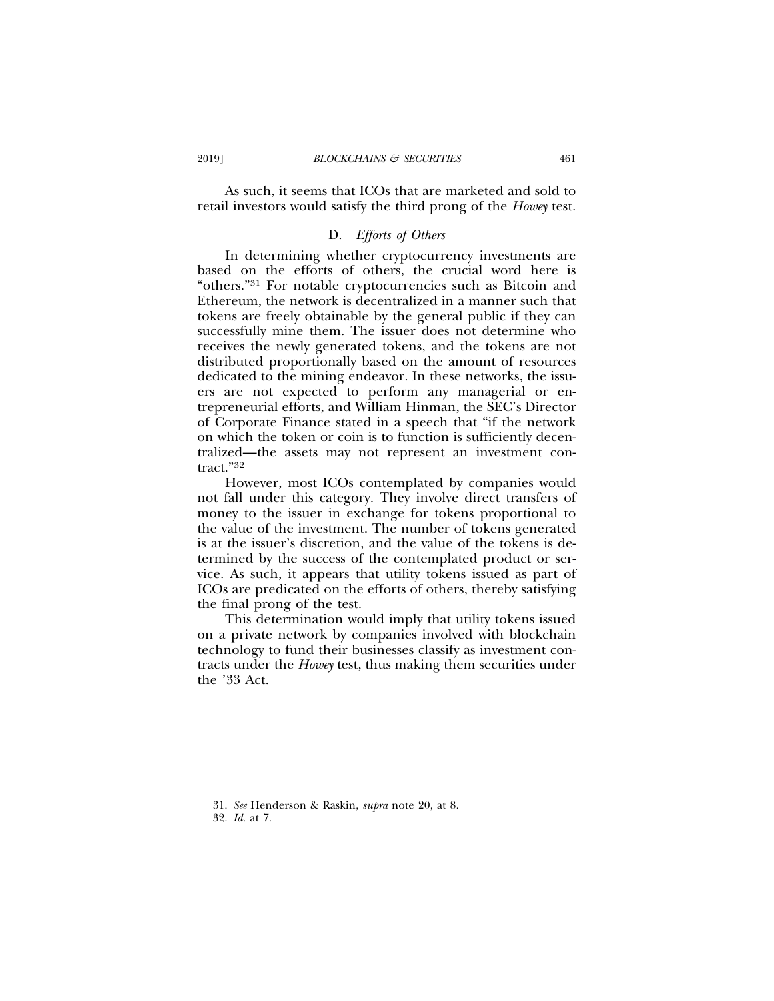As such, it seems that ICOs that are marketed and sold to retail investors would satisfy the third prong of the *Howey* test.

## D. *Efforts of Others*

In determining whether cryptocurrency investments are based on the efforts of others, the crucial word here is "others."31 For notable cryptocurrencies such as Bitcoin and Ethereum, the network is decentralized in a manner such that tokens are freely obtainable by the general public if they can successfully mine them. The issuer does not determine who receives the newly generated tokens, and the tokens are not distributed proportionally based on the amount of resources dedicated to the mining endeavor. In these networks, the issuers are not expected to perform any managerial or entrepreneurial efforts, and William Hinman, the SEC's Director of Corporate Finance stated in a speech that "if the network on which the token or coin is to function is sufficiently decentralized—the assets may not represent an investment contract."32

However, most ICOs contemplated by companies would not fall under this category. They involve direct transfers of money to the issuer in exchange for tokens proportional to the value of the investment. The number of tokens generated is at the issuer's discretion, and the value of the tokens is determined by the success of the contemplated product or service. As such, it appears that utility tokens issued as part of ICOs are predicated on the efforts of others, thereby satisfying the final prong of the test.

This determination would imply that utility tokens issued on a private network by companies involved with blockchain technology to fund their businesses classify as investment contracts under the *Howey* test, thus making them securities under the '33 Act.

<sup>31.</sup> *See* Henderson & Raskin, *supra* note 20, at 8.

<sup>32.</sup> *Id.* at 7.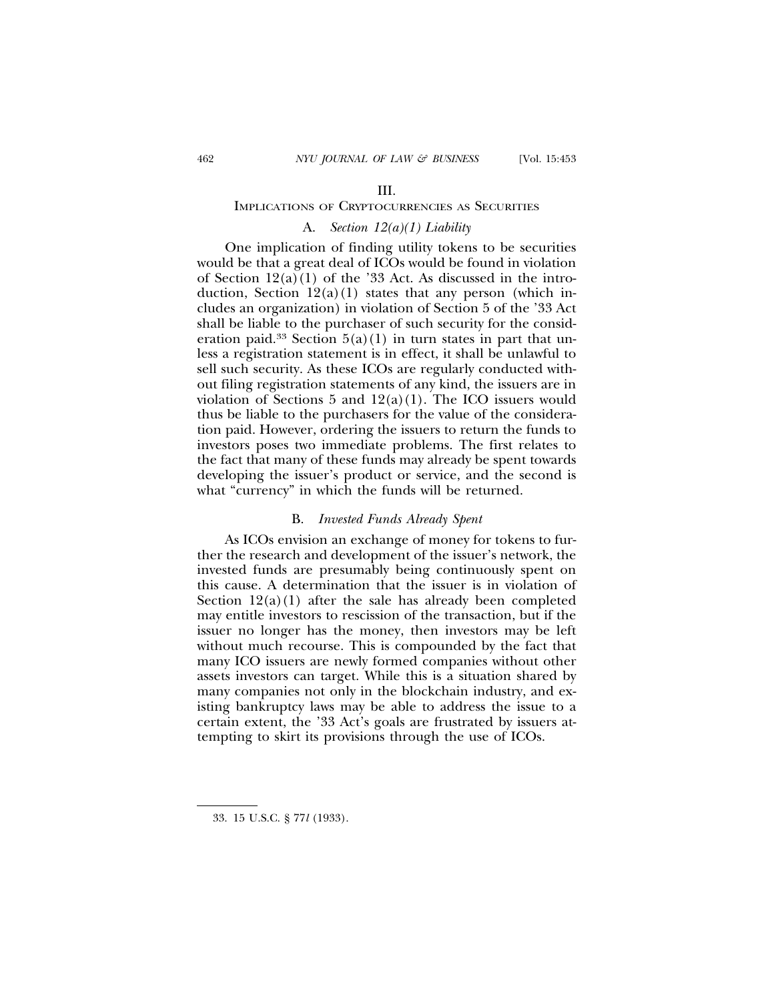#### III.

## IMPLICATIONS OF CRYPTOCURRENCIES AS SECURITIES

## A. *Section 12(a)(1) Liability*

One implication of finding utility tokens to be securities would be that a great deal of ICOs would be found in violation of Section  $12(a)(1)$  of the '33 Act. As discussed in the introduction, Section  $12(a)(1)$  states that any person (which includes an organization) in violation of Section 5 of the '33 Act shall be liable to the purchaser of such security for the consideration paid.<sup>33</sup> Section  $5(a)(1)$  in turn states in part that unless a registration statement is in effect, it shall be unlawful to sell such security. As these ICOs are regularly conducted without filing registration statements of any kind, the issuers are in violation of Sections 5 and  $12(a)(1)$ . The ICO issuers would thus be liable to the purchasers for the value of the consideration paid. However, ordering the issuers to return the funds to investors poses two immediate problems. The first relates to the fact that many of these funds may already be spent towards developing the issuer's product or service, and the second is what "currency" in which the funds will be returned.

#### B. *Invested Funds Already Spent*

As ICOs envision an exchange of money for tokens to further the research and development of the issuer's network, the invested funds are presumably being continuously spent on this cause. A determination that the issuer is in violation of Section  $12(a)(1)$  after the sale has already been completed may entitle investors to rescission of the transaction, but if the issuer no longer has the money, then investors may be left without much recourse. This is compounded by the fact that many ICO issuers are newly formed companies without other assets investors can target. While this is a situation shared by many companies not only in the blockchain industry, and existing bankruptcy laws may be able to address the issue to a certain extent, the '33 Act's goals are frustrated by issuers attempting to skirt its provisions through the use of ICOs.

<sup>33. 15</sup> U.S.C. § 77*l* (1933).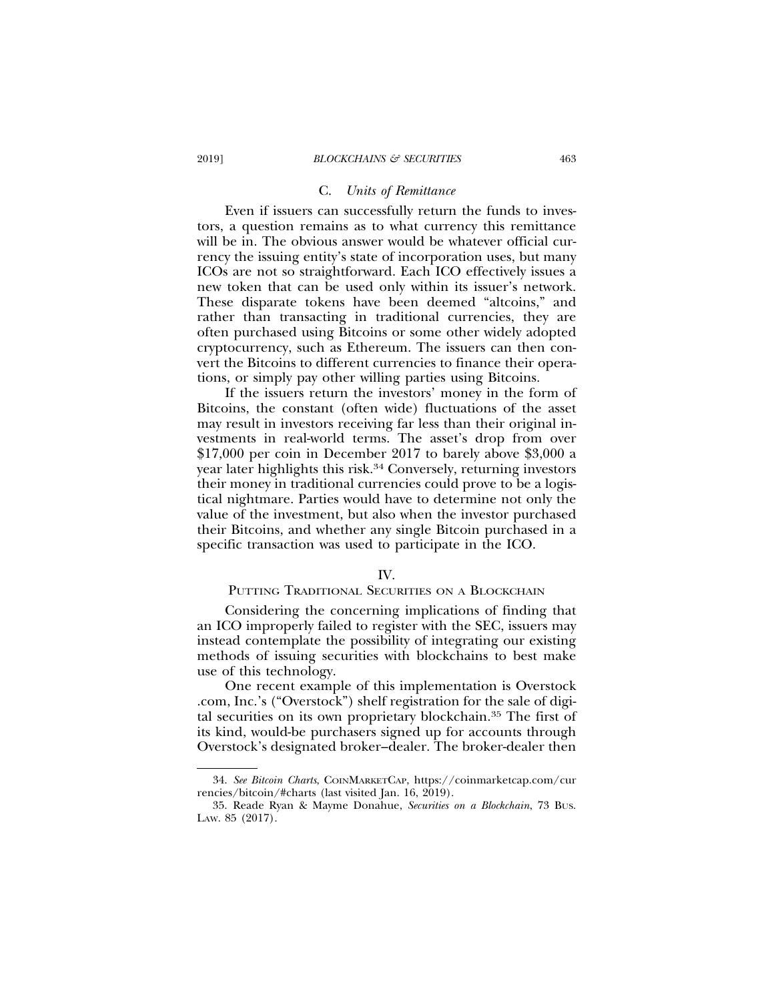#### C. *Units of Remittance*

Even if issuers can successfully return the funds to investors, a question remains as to what currency this remittance will be in. The obvious answer would be whatever official currency the issuing entity's state of incorporation uses, but many ICOs are not so straightforward. Each ICO effectively issues a new token that can be used only within its issuer's network. These disparate tokens have been deemed "altcoins," and rather than transacting in traditional currencies, they are often purchased using Bitcoins or some other widely adopted cryptocurrency, such as Ethereum. The issuers can then convert the Bitcoins to different currencies to finance their operations, or simply pay other willing parties using Bitcoins.

If the issuers return the investors' money in the form of Bitcoins, the constant (often wide) fluctuations of the asset may result in investors receiving far less than their original investments in real-world terms. The asset's drop from over \$17,000 per coin in December 2017 to barely above \$3,000 a year later highlights this risk.34 Conversely, returning investors their money in traditional currencies could prove to be a logistical nightmare. Parties would have to determine not only the value of the investment, but also when the investor purchased their Bitcoins, and whether any single Bitcoin purchased in a specific transaction was used to participate in the ICO.

#### IV.

## PUTTING TRADITIONAL SECURITIES ON A BLOCKCHAIN

Considering the concerning implications of finding that an ICO improperly failed to register with the SEC, issuers may instead contemplate the possibility of integrating our existing methods of issuing securities with blockchains to best make use of this technology.

One recent example of this implementation is Overstock .com, Inc.'s ("Overstock") shelf registration for the sale of digital securities on its own proprietary blockchain.35 The first of its kind, would-be purchasers signed up for accounts through Overstock's designated broker–dealer. The broker-dealer then

<sup>34.</sup> *See Bitcoin Charts*, COINMARKETCAP, https://coinmarketcap.com/cur rencies/bitcoin/#charts (last visited Jan. 16, 2019).

<sup>35.</sup> Reade Ryan & Mayme Donahue, *Securities on a Blockchain*, 73 BUS. LAW. 85 (2017).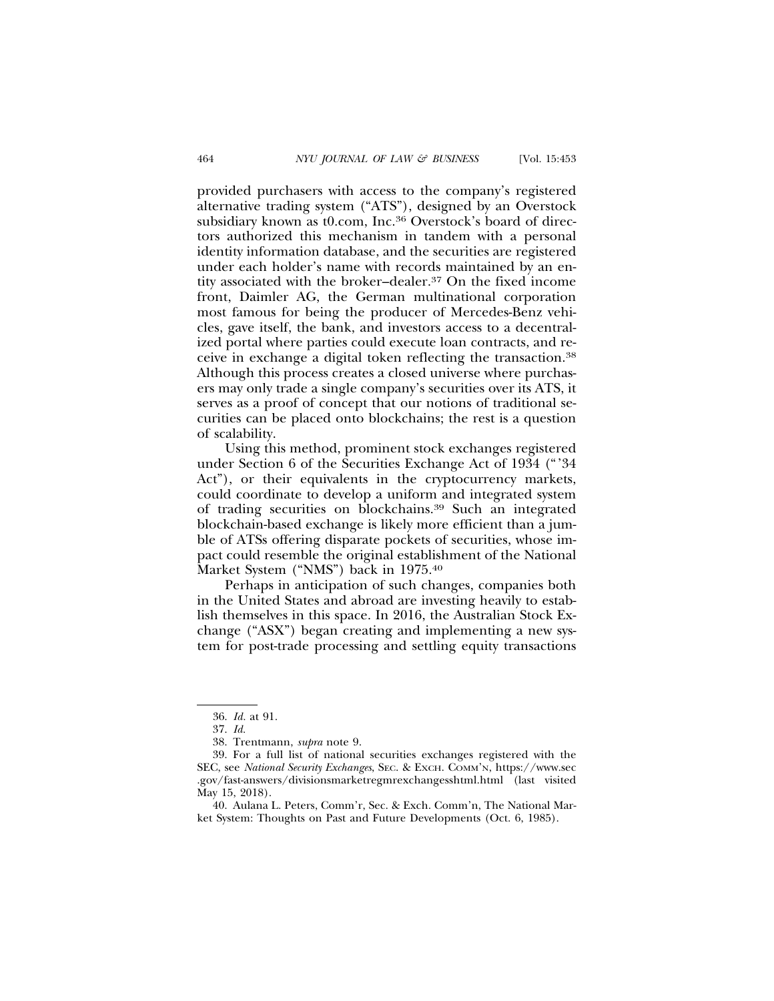provided purchasers with access to the company's registered alternative trading system ("ATS"), designed by an Overstock subsidiary known as t0.com, Inc.<sup>36</sup> Overstock's board of directors authorized this mechanism in tandem with a personal identity information database, and the securities are registered under each holder's name with records maintained by an entity associated with the broker–dealer.37 On the fixed income front, Daimler AG, the German multinational corporation most famous for being the producer of Mercedes-Benz vehicles, gave itself, the bank, and investors access to a decentralized portal where parties could execute loan contracts, and receive in exchange a digital token reflecting the transaction.38 Although this process creates a closed universe where purchasers may only trade a single company's securities over its ATS, it serves as a proof of concept that our notions of traditional securities can be placed onto blockchains; the rest is a question of scalability.

Using this method, prominent stock exchanges registered under Section 6 of the Securities Exchange Act of 1934 ("'34 Act"), or their equivalents in the cryptocurrency markets, could coordinate to develop a uniform and integrated system of trading securities on blockchains.39 Such an integrated blockchain-based exchange is likely more efficient than a jumble of ATSs offering disparate pockets of securities, whose impact could resemble the original establishment of the National Market System ("NMS") back in 1975.40

Perhaps in anticipation of such changes, companies both in the United States and abroad are investing heavily to establish themselves in this space. In 2016, the Australian Stock Exchange ("ASX") began creating and implementing a new system for post-trade processing and settling equity transactions

<sup>36.</sup> *Id.* at 91.

<sup>37.</sup> *Id.*

<sup>38.</sup> Trentmann, *supra* note 9.

<sup>39.</sup> For a full list of national securities exchanges registered with the SEC, see *National Security Exchanges*, SEC. & EXCH. COMM'N, https://www.sec .gov/fast-answers/divisionsmarketregmrexchangesshtml.html (last visited May 15, 2018).

<sup>40.</sup> Aulana L. Peters, Comm'r, Sec. & Exch. Comm'n, The National Market System: Thoughts on Past and Future Developments (Oct. 6, 1985).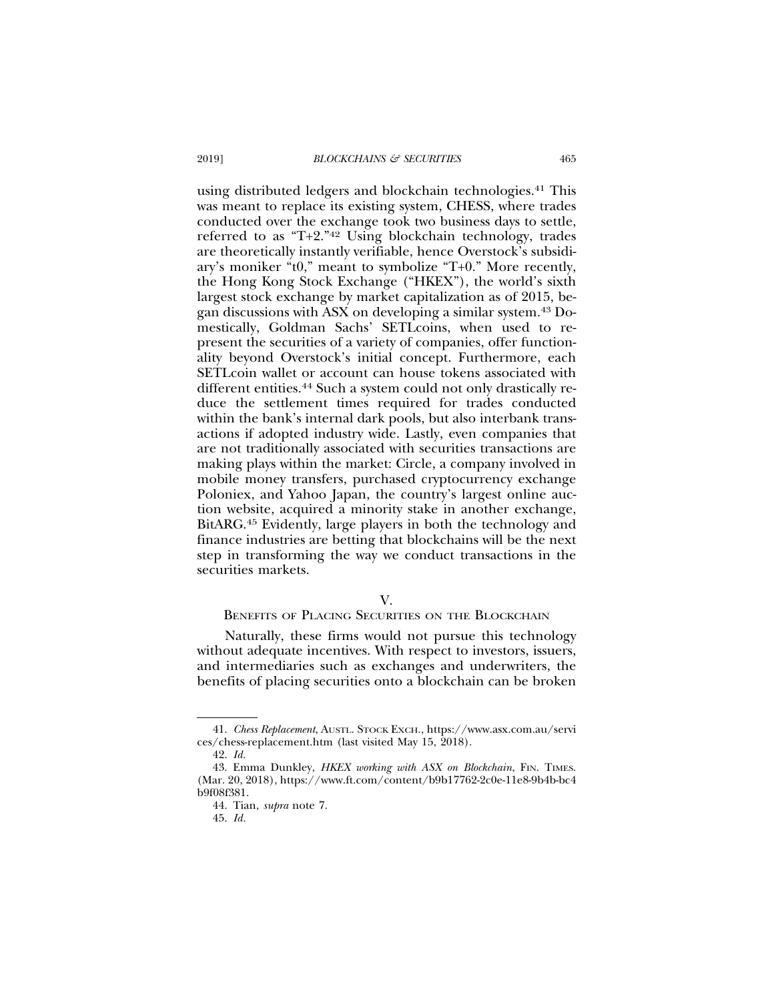using distributed ledgers and blockchain technologies.41 This was meant to replace its existing system, CHESS, where trades conducted over the exchange took two business days to settle, referred to as "T+2."42 Using blockchain technology, trades are theoretically instantly verifiable, hence Overstock's subsidiary's moniker "t0," meant to symbolize "T+0." More recently, the Hong Kong Stock Exchange ("HKEX"), the world's sixth largest stock exchange by market capitalization as of 2015, began discussions with ASX on developing a similar system.43 Domestically, Goldman Sachs' SETLcoins, when used to represent the securities of a variety of companies, offer functionality beyond Overstock's initial concept. Furthermore, each SETLcoin wallet or account can house tokens associated with different entities.<sup>44</sup> Such a system could not only drastically reduce the settlement times required for trades conducted within the bank's internal dark pools, but also interbank transactions if adopted industry wide. Lastly, even companies that are not traditionally associated with securities transactions are making plays within the market: Circle, a company involved in mobile money transfers, purchased cryptocurrency exchange Poloniex, and Yahoo Japan, the country's largest online auction website, acquired a minority stake in another exchange, BitARG.45 Evidently, large players in both the technology and finance industries are betting that blockchains will be the next step in transforming the way we conduct transactions in the securities markets.

#### V.

#### BENEFITS OF PLACING SECURITIES ON THE BLOCKCHAIN

Naturally, these firms would not pursue this technology without adequate incentives. With respect to investors, issuers, and intermediaries such as exchanges and underwriters, the benefits of placing securities onto a blockchain can be broken

<sup>41.</sup> *Chess Replacement*, AUSTL. STOCK EXCH., https://www.asx.com.au/servi ces/chess-replacement.htm (last visited May 15, 2018).

<sup>42.</sup> *Id.*

<sup>43.</sup> Emma Dunkley, *HKEX working with ASX on Blockchain*, FIN. TIMES. (Mar. 20, 2018), https://www.ft.com/content/b9b17762-2c0e-11e8-9b4b-bc4 b9f08f381.

<sup>44.</sup> Tian, *supra* note 7.

<sup>45.</sup> *Id.*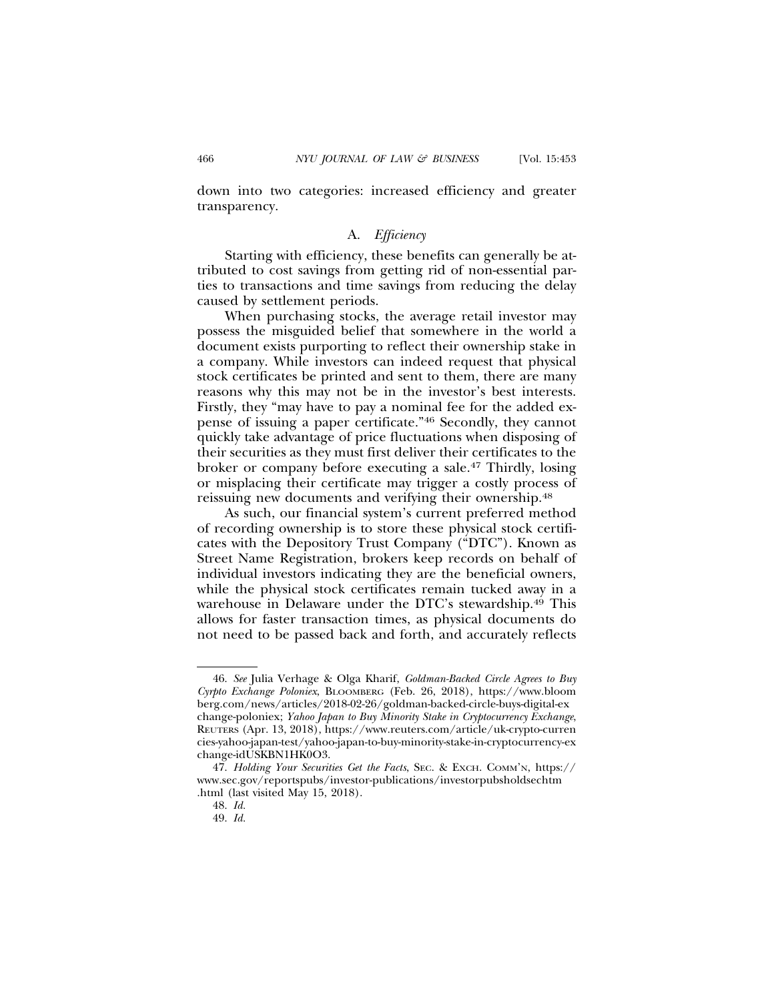down into two categories: increased efficiency and greater transparency.

## A. *Efficiency*

Starting with efficiency, these benefits can generally be attributed to cost savings from getting rid of non-essential parties to transactions and time savings from reducing the delay caused by settlement periods.

When purchasing stocks, the average retail investor may possess the misguided belief that somewhere in the world a document exists purporting to reflect their ownership stake in a company. While investors can indeed request that physical stock certificates be printed and sent to them, there are many reasons why this may not be in the investor's best interests. Firstly, they "may have to pay a nominal fee for the added expense of issuing a paper certificate."46 Secondly, they cannot quickly take advantage of price fluctuations when disposing of their securities as they must first deliver their certificates to the broker or company before executing a sale.47 Thirdly, losing or misplacing their certificate may trigger a costly process of reissuing new documents and verifying their ownership.48

As such, our financial system's current preferred method of recording ownership is to store these physical stock certificates with the Depository Trust Company ("DTC"). Known as Street Name Registration, brokers keep records on behalf of individual investors indicating they are the beneficial owners, while the physical stock certificates remain tucked away in a warehouse in Delaware under the DTC's stewardship.49 This allows for faster transaction times, as physical documents do not need to be passed back and forth, and accurately reflects

<sup>46.</sup> *See* Julia Verhage & Olga Kharif, *Goldman-Backed Circle Agrees to Buy Cyrpto Exchange Poloniex*, BLOOMBERG (Feb. 26, 2018), https://www.bloom berg.com/news/articles/2018-02-26/goldman-backed-circle-buys-digital-ex change-poloniex; *Yahoo Japan to Buy Minority Stake in Cryptocurrency Exchange*, REUTERS (Apr. 13, 2018), https://www.reuters.com/article/uk-crypto-curren cies-yahoo-japan-test/yahoo-japan-to-buy-minority-stake-in-cryptocurrency-ex change-idUSKBN1HK0O3.

<sup>47.</sup> *Holding Your Securities Get the Facts*, SEC. & EXCH. COMM'N, https:// www.sec.gov/reportspubs/investor-publications/investorpubsholdsechtm .html (last visited May 15, 2018).

<sup>48.</sup> *Id.*

<sup>49.</sup> *Id.*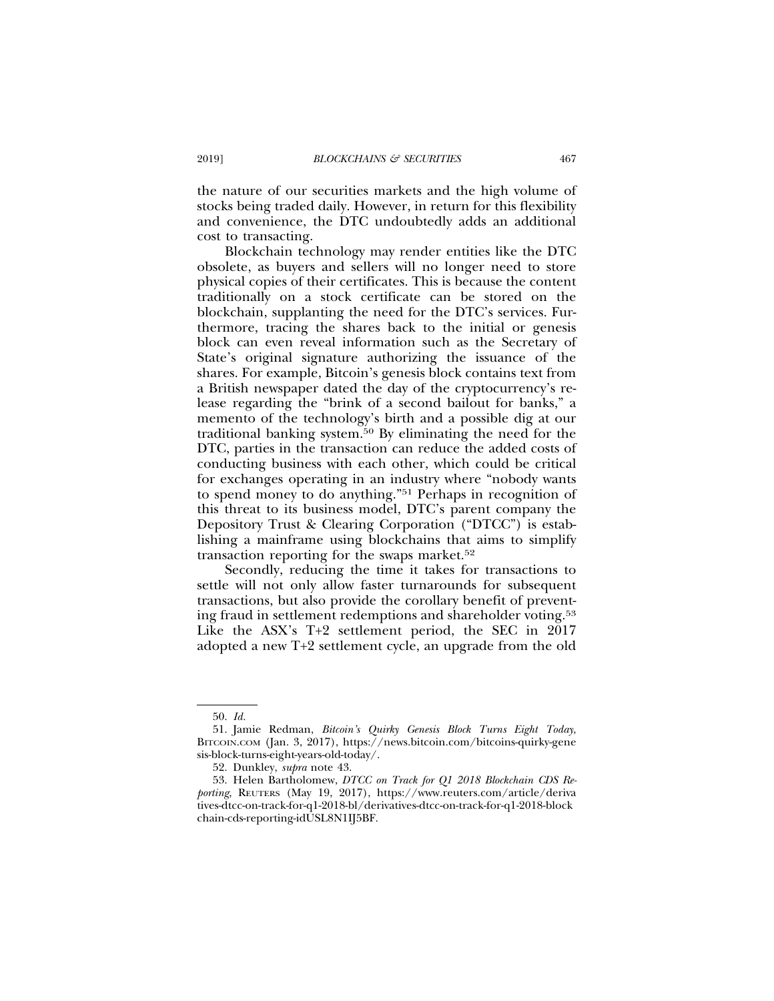the nature of our securities markets and the high volume of stocks being traded daily. However, in return for this flexibility and convenience, the DTC undoubtedly adds an additional cost to transacting.

Blockchain technology may render entities like the DTC obsolete, as buyers and sellers will no longer need to store physical copies of their certificates. This is because the content traditionally on a stock certificate can be stored on the blockchain, supplanting the need for the DTC's services. Furthermore, tracing the shares back to the initial or genesis block can even reveal information such as the Secretary of State's original signature authorizing the issuance of the shares. For example, Bitcoin's genesis block contains text from a British newspaper dated the day of the cryptocurrency's release regarding the "brink of a second bailout for banks," a memento of the technology's birth and a possible dig at our traditional banking system.50 By eliminating the need for the DTC, parties in the transaction can reduce the added costs of conducting business with each other, which could be critical for exchanges operating in an industry where "nobody wants to spend money to do anything."51 Perhaps in recognition of this threat to its business model, DTC's parent company the Depository Trust & Clearing Corporation ("DTCC") is establishing a mainframe using blockchains that aims to simplify transaction reporting for the swaps market.<sup>52</sup>

Secondly, reducing the time it takes for transactions to settle will not only allow faster turnarounds for subsequent transactions, but also provide the corollary benefit of preventing fraud in settlement redemptions and shareholder voting.53 Like the ASX's T+2 settlement period, the SEC in 2017 adopted a new T+2 settlement cycle, an upgrade from the old

<sup>50.</sup> *Id.*

<sup>51.</sup> Jamie Redman, *Bitcoin's Quirky Genesis Block Turns Eight Today*, BITCOIN.COM (Jan. 3, 2017), https://news.bitcoin.com/bitcoins-quirky-gene sis-block-turns-eight-years-old-today/.

<sup>52.</sup> Dunkley, *supra* note 43.

<sup>53.</sup> Helen Bartholomew, *DTCC on Track for Q1 2018 Blockchain CDS Reporting*, REUTERS (May 19, 2017), https://www.reuters.com/article/deriva tives-dtcc-on-track-for-q1-2018-bl/derivatives-dtcc-on-track-for-q1-2018-block chain-cds-reporting-idUSL8N1IJ5BF.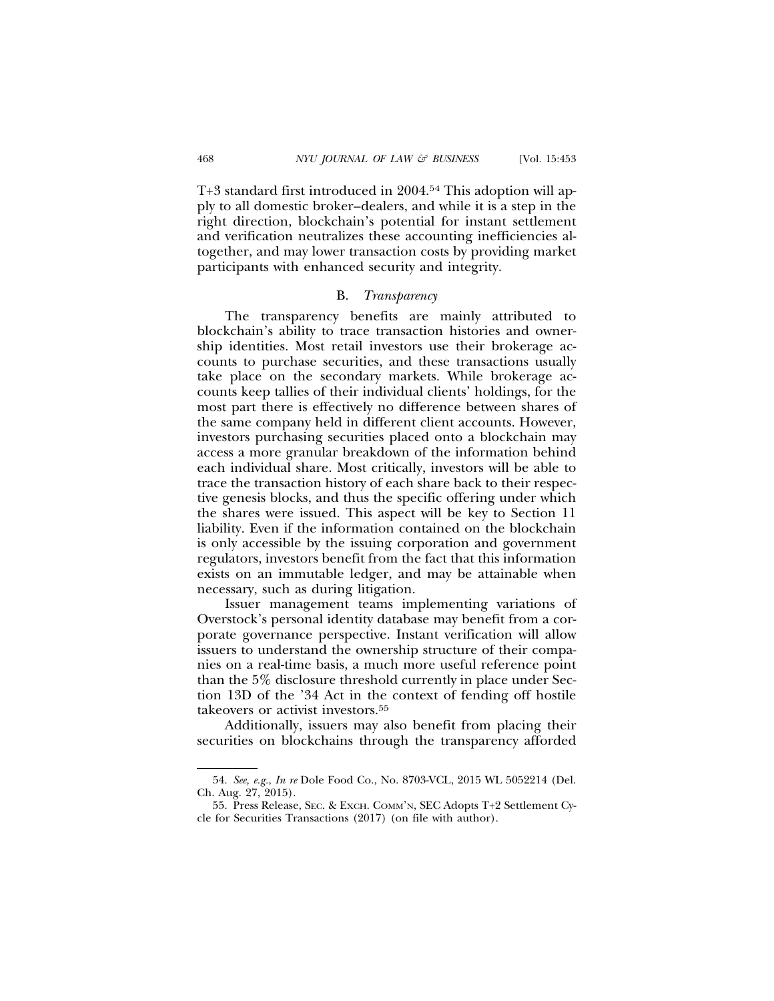T+3 standard first introduced in 2004.54 This adoption will apply to all domestic broker–dealers, and while it is a step in the right direction, blockchain's potential for instant settlement and verification neutralizes these accounting inefficiencies altogether, and may lower transaction costs by providing market participants with enhanced security and integrity.

#### B. *Transparency*

The transparency benefits are mainly attributed to blockchain's ability to trace transaction histories and ownership identities. Most retail investors use their brokerage accounts to purchase securities, and these transactions usually take place on the secondary markets. While brokerage accounts keep tallies of their individual clients' holdings, for the most part there is effectively no difference between shares of the same company held in different client accounts. However, investors purchasing securities placed onto a blockchain may access a more granular breakdown of the information behind each individual share. Most critically, investors will be able to trace the transaction history of each share back to their respective genesis blocks, and thus the specific offering under which the shares were issued. This aspect will be key to Section 11 liability. Even if the information contained on the blockchain is only accessible by the issuing corporation and government regulators, investors benefit from the fact that this information exists on an immutable ledger, and may be attainable when necessary, such as during litigation.

Issuer management teams implementing variations of Overstock's personal identity database may benefit from a corporate governance perspective. Instant verification will allow issuers to understand the ownership structure of their companies on a real-time basis, a much more useful reference point than the 5% disclosure threshold currently in place under Section 13D of the '34 Act in the context of fending off hostile takeovers or activist investors.55

Additionally, issuers may also benefit from placing their securities on blockchains through the transparency afforded

<sup>54.</sup> *See, e.g.*, *In re* Dole Food Co., No. 8703-VCL, 2015 WL 5052214 (Del. Ch. Aug. 27, 2015).

<sup>55.</sup> Press Release, SEC. & EXCH. COMM'N, SEC Adopts T+2 Settlement Cycle for Securities Transactions (2017) (on file with author).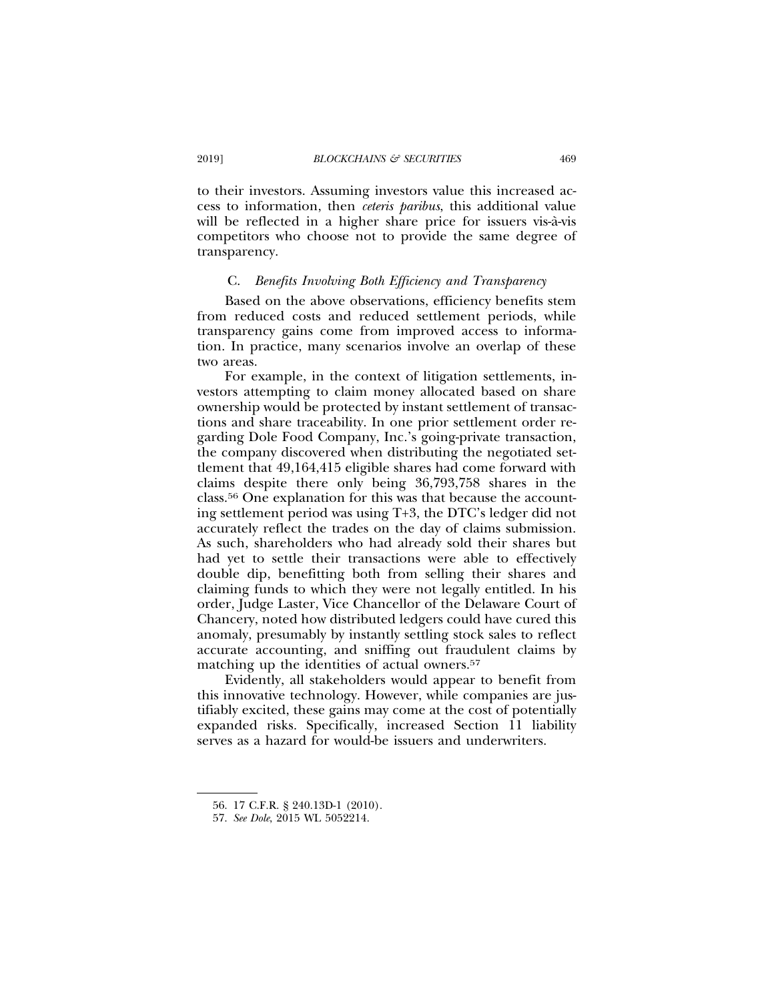to their investors. Assuming investors value this increased access to information, then *ceteris paribus*, this additional value will be reflected in a higher share price for issuers vis- $\hat{a}$ -vis competitors who choose not to provide the same degree of transparency.

#### C. *Benefits Involving Both Efficiency and Transparency*

Based on the above observations, efficiency benefits stem from reduced costs and reduced settlement periods, while transparency gains come from improved access to information. In practice, many scenarios involve an overlap of these two areas.

For example, in the context of litigation settlements, investors attempting to claim money allocated based on share ownership would be protected by instant settlement of transactions and share traceability. In one prior settlement order regarding Dole Food Company, Inc.'s going-private transaction, the company discovered when distributing the negotiated settlement that 49,164,415 eligible shares had come forward with claims despite there only being 36,793,758 shares in the class.56 One explanation for this was that because the accounting settlement period was using T+3, the DTC's ledger did not accurately reflect the trades on the day of claims submission. As such, shareholders who had already sold their shares but had yet to settle their transactions were able to effectively double dip, benefitting both from selling their shares and claiming funds to which they were not legally entitled. In his order, Judge Laster, Vice Chancellor of the Delaware Court of Chancery, noted how distributed ledgers could have cured this anomaly, presumably by instantly settling stock sales to reflect accurate accounting, and sniffing out fraudulent claims by matching up the identities of actual owners.<sup>57</sup>

Evidently, all stakeholders would appear to benefit from this innovative technology. However, while companies are justifiably excited, these gains may come at the cost of potentially expanded risks. Specifically, increased Section 11 liability serves as a hazard for would-be issuers and underwriters.

<sup>56. 17</sup> C.F.R. § 240.13D-1 (2010).

<sup>57.</sup> *See Dole*, 2015 WL 5052214.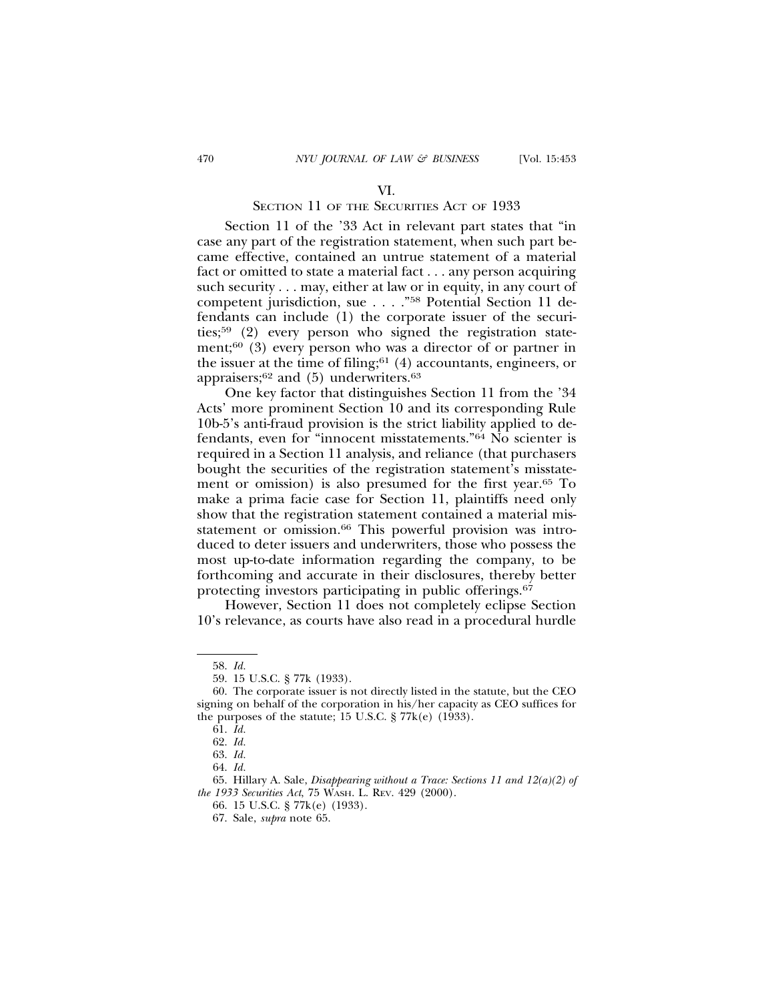#### VI.

## SECTION 11 OF THE SECURITIES ACT OF 1933

Section 11 of the '33 Act in relevant part states that "in case any part of the registration statement, when such part became effective, contained an untrue statement of a material fact or omitted to state a material fact . . . any person acquiring such security . . . may, either at law or in equity, in any court of competent jurisdiction, sue . . . ."58 Potential Section 11 defendants can include (1) the corporate issuer of the securities;59 (2) every person who signed the registration statement;<sup>60</sup> (3) every person who was a director of or partner in the issuer at the time of filing; $61$  (4) accountants, engineers, or appraisers; $62$  and (5) underwriters. $63$ 

One key factor that distinguishes Section 11 from the '34 Acts' more prominent Section 10 and its corresponding Rule 10b-5's anti-fraud provision is the strict liability applied to defendants, even for "innocent misstatements."64 No scienter is required in a Section 11 analysis, and reliance (that purchasers bought the securities of the registration statement's misstatement or omission) is also presumed for the first year.65 To make a prima facie case for Section 11, plaintiffs need only show that the registration statement contained a material misstatement or omission.<sup>66</sup> This powerful provision was introduced to deter issuers and underwriters, those who possess the most up-to-date information regarding the company, to be forthcoming and accurate in their disclosures, thereby better protecting investors participating in public offerings.67

However, Section 11 does not completely eclipse Section 10's relevance, as courts have also read in a procedural hurdle

<sup>58.</sup> *Id.*

<sup>59. 15</sup> U.S.C. § 77k (1933).

<sup>60.</sup> The corporate issuer is not directly listed in the statute, but the CEO signing on behalf of the corporation in his/her capacity as CEO suffices for the purposes of the statute; 15 U.S.C.  $\S 77k(e)$  (1933).

<sup>61.</sup> *Id.*

<sup>62.</sup> *Id.*

<sup>63.</sup> *Id.*

<sup>64.</sup> *Id.*

<sup>65.</sup> Hillary A. Sale, *Disappearing without a Trace: Sections 11 and 12(a)(2) of the 1933 Securities Act*, 75 WASH. L. REV. 429 (2000).

<sup>66. 15</sup> U.S.C. § 77k(e) (1933).

<sup>67.</sup> Sale, *supra* note 65.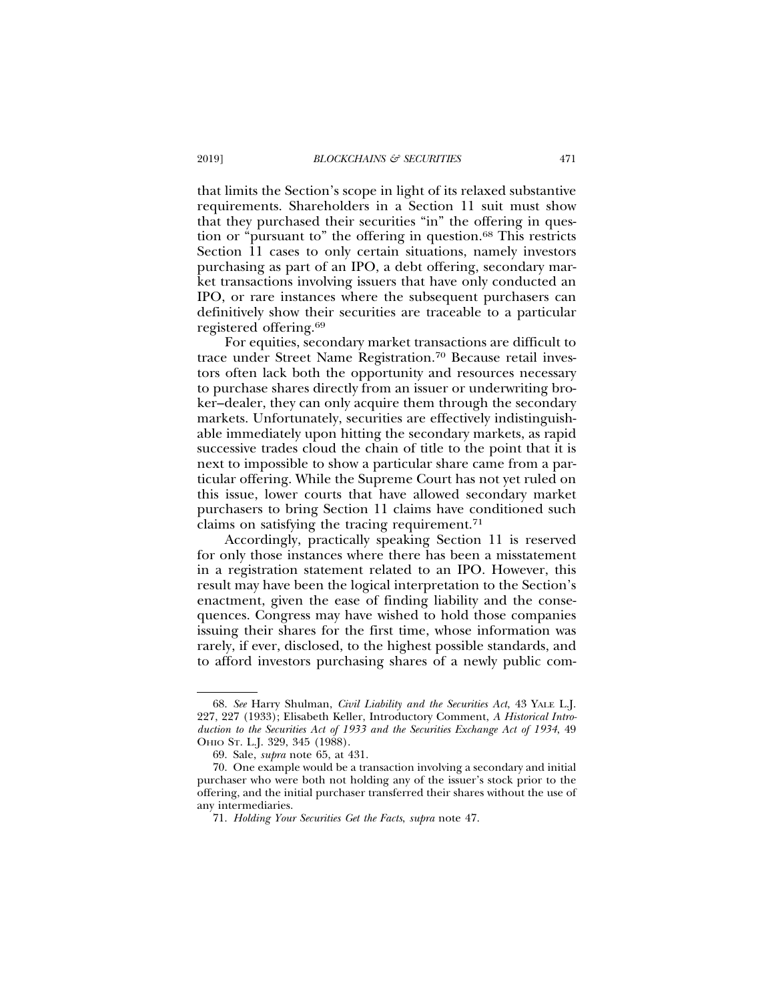that limits the Section's scope in light of its relaxed substantive requirements. Shareholders in a Section 11 suit must show that they purchased their securities "in" the offering in question or "pursuant to" the offering in question.68 This restricts Section 11 cases to only certain situations, namely investors purchasing as part of an IPO, a debt offering, secondary market transactions involving issuers that have only conducted an IPO, or rare instances where the subsequent purchasers can definitively show their securities are traceable to a particular registered offering.69

For equities, secondary market transactions are difficult to trace under Street Name Registration.70 Because retail investors often lack both the opportunity and resources necessary to purchase shares directly from an issuer or underwriting broker–dealer, they can only acquire them through the secondary markets. Unfortunately, securities are effectively indistinguishable immediately upon hitting the secondary markets, as rapid successive trades cloud the chain of title to the point that it is next to impossible to show a particular share came from a particular offering. While the Supreme Court has not yet ruled on this issue, lower courts that have allowed secondary market purchasers to bring Section 11 claims have conditioned such claims on satisfying the tracing requirement.71

Accordingly, practically speaking Section 11 is reserved for only those instances where there has been a misstatement in a registration statement related to an IPO. However, this result may have been the logical interpretation to the Section's enactment, given the ease of finding liability and the consequences. Congress may have wished to hold those companies issuing their shares for the first time, whose information was rarely, if ever, disclosed, to the highest possible standards, and to afford investors purchasing shares of a newly public com-

<sup>68.</sup> *See* Harry Shulman, *Civil Liability and the Securities Act*, 43 YALE L.J. 227, 227 (1933); Elisabeth Keller, Introductory Comment, *A Historical Introduction to the Securities Act of 1933 and the Securities Exchange Act of 1934*, 49 OHIO ST. L.J. 329, 345 (1988).

<sup>69.</sup> Sale, *supra* note 65, at 431.

<sup>70.</sup> One example would be a transaction involving a secondary and initial purchaser who were both not holding any of the issuer's stock prior to the offering, and the initial purchaser transferred their shares without the use of any intermediaries.

<sup>71.</sup> *Holding Your Securities Get the Facts*, *supra* note 47.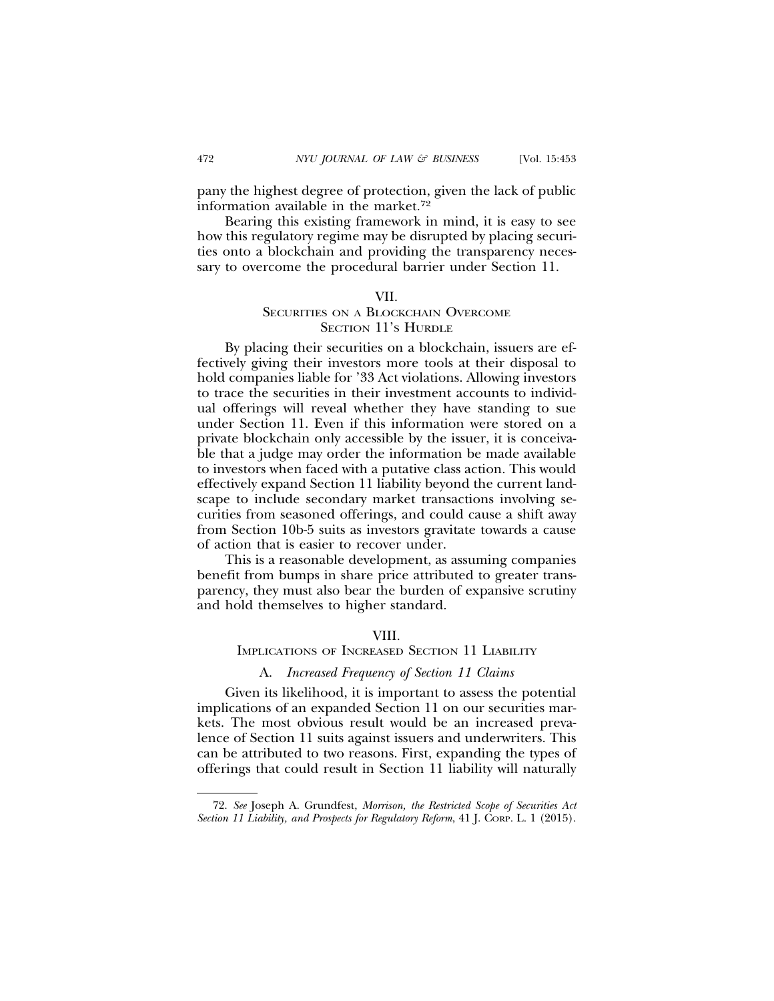pany the highest degree of protection, given the lack of public information available in the market.72

Bearing this existing framework in mind, it is easy to see how this regulatory regime may be disrupted by placing securities onto a blockchain and providing the transparency necessary to overcome the procedural barrier under Section 11.

#### VII.

## SECURITIES ON A BLOCKCHAIN OVERCOME SECTION 11'S HURDLE

By placing their securities on a blockchain, issuers are effectively giving their investors more tools at their disposal to hold companies liable for '33 Act violations. Allowing investors to trace the securities in their investment accounts to individual offerings will reveal whether they have standing to sue under Section 11. Even if this information were stored on a private blockchain only accessible by the issuer, it is conceivable that a judge may order the information be made available to investors when faced with a putative class action. This would effectively expand Section 11 liability beyond the current landscape to include secondary market transactions involving securities from seasoned offerings, and could cause a shift away from Section 10b-5 suits as investors gravitate towards a cause of action that is easier to recover under.

This is a reasonable development, as assuming companies benefit from bumps in share price attributed to greater transparency, they must also bear the burden of expansive scrutiny and hold themselves to higher standard.

## VIII.

## IMPLICATIONS OF INCREASED SECTION 11 LIABILITY

## A. *Increased Frequency of Section 11 Claims*

Given its likelihood, it is important to assess the potential implications of an expanded Section 11 on our securities markets. The most obvious result would be an increased prevalence of Section 11 suits against issuers and underwriters. This can be attributed to two reasons. First, expanding the types of offerings that could result in Section 11 liability will naturally

<sup>72.</sup> *See* Joseph A. Grundfest, *Morrison, the Restricted Scope of Securities Act Section 11 Liability, and Prospects for Regulatory Reform*, 41 J. CORP. L. 1 (2015).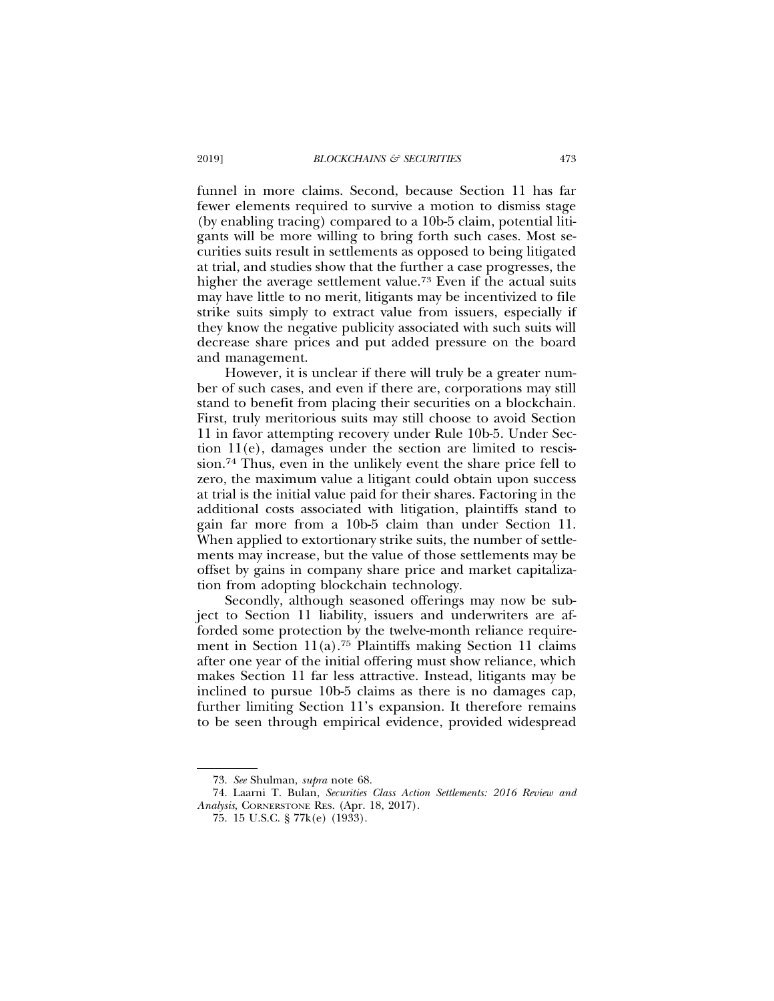funnel in more claims. Second, because Section 11 has far fewer elements required to survive a motion to dismiss stage (by enabling tracing) compared to a 10b-5 claim, potential litigants will be more willing to bring forth such cases. Most securities suits result in settlements as opposed to being litigated at trial, and studies show that the further a case progresses, the higher the average settlement value.73 Even if the actual suits may have little to no merit, litigants may be incentivized to file strike suits simply to extract value from issuers, especially if they know the negative publicity associated with such suits will decrease share prices and put added pressure on the board and management.

However, it is unclear if there will truly be a greater number of such cases, and even if there are, corporations may still stand to benefit from placing their securities on a blockchain. First, truly meritorious suits may still choose to avoid Section 11 in favor attempting recovery under Rule 10b-5. Under Section 11(e), damages under the section are limited to rescission.74 Thus, even in the unlikely event the share price fell to zero, the maximum value a litigant could obtain upon success at trial is the initial value paid for their shares. Factoring in the additional costs associated with litigation, plaintiffs stand to gain far more from a 10b-5 claim than under Section 11. When applied to extortionary strike suits, the number of settlements may increase, but the value of those settlements may be offset by gains in company share price and market capitalization from adopting blockchain technology.

Secondly, although seasoned offerings may now be subject to Section 11 liability, issuers and underwriters are afforded some protection by the twelve-month reliance requirement in Section  $11(a)$ .<sup>75</sup> Plaintiffs making Section 11 claims after one year of the initial offering must show reliance, which makes Section 11 far less attractive. Instead, litigants may be inclined to pursue 10b-5 claims as there is no damages cap, further limiting Section 11's expansion. It therefore remains to be seen through empirical evidence, provided widespread

<sup>73.</sup> *See* Shulman, *supra* note 68.

<sup>74.</sup> Laarni T. Bulan, *Securities Class Action Settlements: 2016 Review and Analysis*, CORNERSTONE RES. (Apr. 18, 2017).

<sup>75. 15</sup> U.S.C. § 77k(e) (1933).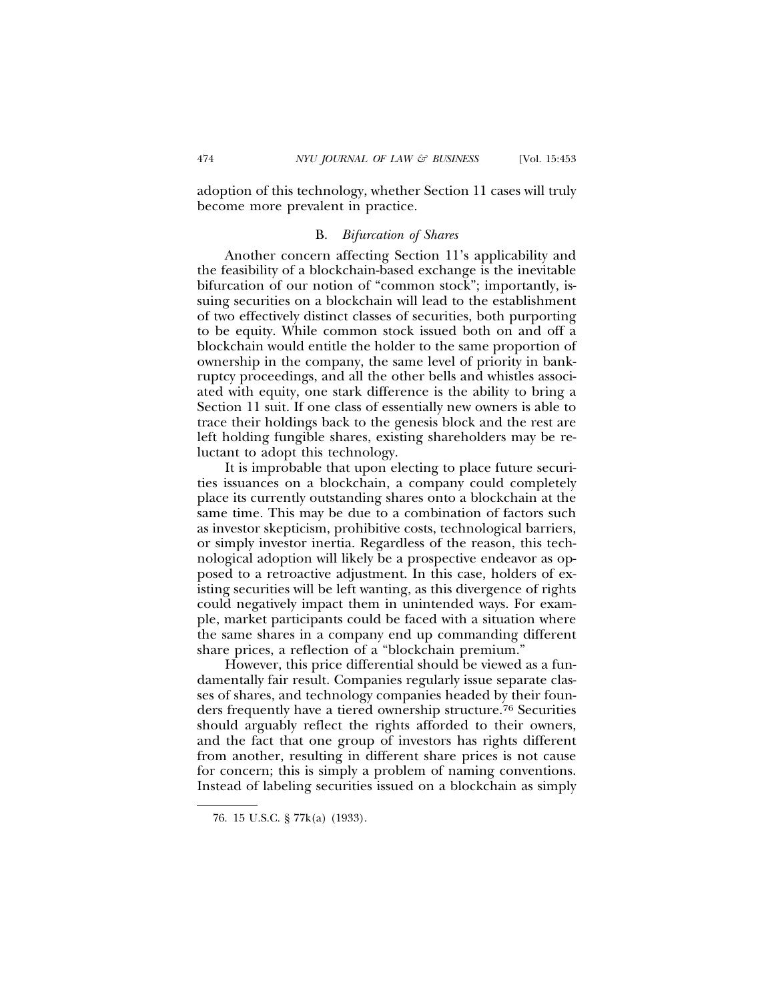adoption of this technology, whether Section 11 cases will truly become more prevalent in practice.

## B. *Bifurcation of Shares*

Another concern affecting Section 11's applicability and the feasibility of a blockchain-based exchange is the inevitable bifurcation of our notion of "common stock"; importantly, issuing securities on a blockchain will lead to the establishment of two effectively distinct classes of securities, both purporting to be equity. While common stock issued both on and off a blockchain would entitle the holder to the same proportion of ownership in the company, the same level of priority in bankruptcy proceedings, and all the other bells and whistles associated with equity, one stark difference is the ability to bring a Section 11 suit. If one class of essentially new owners is able to trace their holdings back to the genesis block and the rest are left holding fungible shares, existing shareholders may be reluctant to adopt this technology.

It is improbable that upon electing to place future securities issuances on a blockchain, a company could completely place its currently outstanding shares onto a blockchain at the same time. This may be due to a combination of factors such as investor skepticism, prohibitive costs, technological barriers, or simply investor inertia. Regardless of the reason, this technological adoption will likely be a prospective endeavor as opposed to a retroactive adjustment. In this case, holders of existing securities will be left wanting, as this divergence of rights could negatively impact them in unintended ways. For example, market participants could be faced with a situation where the same shares in a company end up commanding different share prices, a reflection of a "blockchain premium."

However, this price differential should be viewed as a fundamentally fair result. Companies regularly issue separate classes of shares, and technology companies headed by their founders frequently have a tiered ownership structure.76 Securities should arguably reflect the rights afforded to their owners, and the fact that one group of investors has rights different from another, resulting in different share prices is not cause for concern; this is simply a problem of naming conventions. Instead of labeling securities issued on a blockchain as simply

<sup>76. 15</sup> U.S.C. § 77k(a) (1933).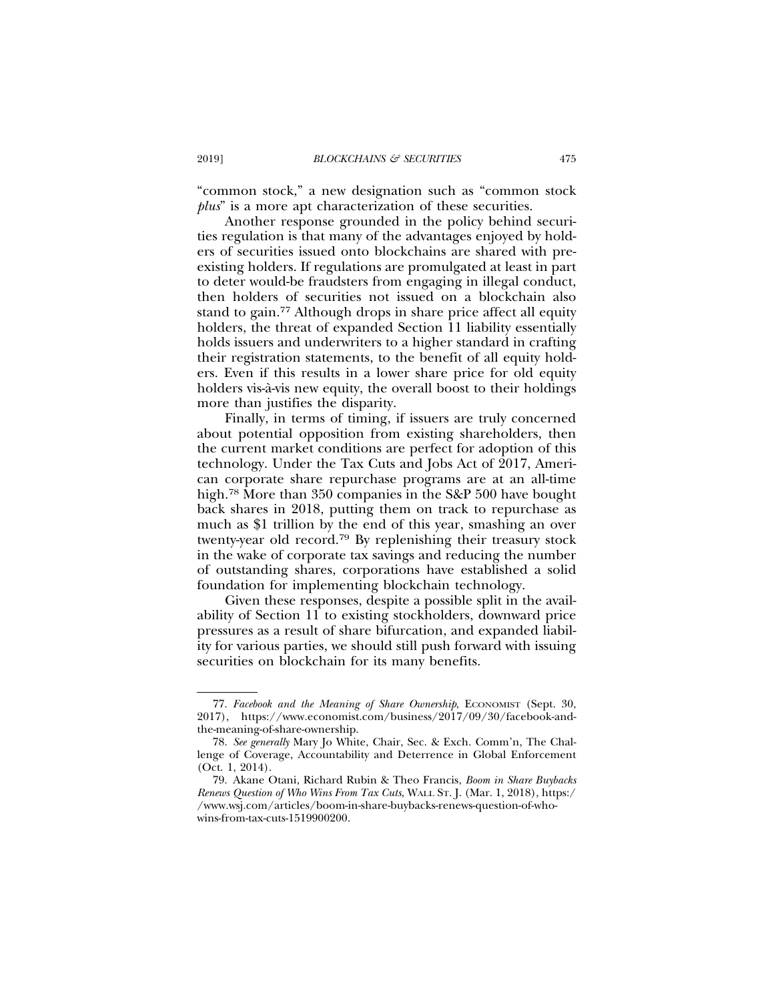"common stock," a new designation such as "common stock *plus*" is a more apt characterization of these securities.

Another response grounded in the policy behind securities regulation is that many of the advantages enjoyed by holders of securities issued onto blockchains are shared with preexisting holders. If regulations are promulgated at least in part to deter would-be fraudsters from engaging in illegal conduct, then holders of securities not issued on a blockchain also stand to gain.77 Although drops in share price affect all equity holders, the threat of expanded Section 11 liability essentially holds issuers and underwriters to a higher standard in crafting their registration statements, to the benefit of all equity holders. Even if this results in a lower share price for old equity holders vis- $\tilde{a}$ -vis new equity, the overall boost to their holdings more than justifies the disparity.

Finally, in terms of timing, if issuers are truly concerned about potential opposition from existing shareholders, then the current market conditions are perfect for adoption of this technology. Under the Tax Cuts and Jobs Act of 2017, American corporate share repurchase programs are at an all-time high.78 More than 350 companies in the S&P 500 have bought back shares in 2018, putting them on track to repurchase as much as \$1 trillion by the end of this year, smashing an over twenty-year old record.79 By replenishing their treasury stock in the wake of corporate tax savings and reducing the number of outstanding shares, corporations have established a solid foundation for implementing blockchain technology.

Given these responses, despite a possible split in the availability of Section 11 to existing stockholders, downward price pressures as a result of share bifurcation, and expanded liability for various parties, we should still push forward with issuing securities on blockchain for its many benefits.

<sup>77.</sup> *Facebook and the Meaning of Share Ownership*, ECONOMIST (Sept. 30, 2017), https://www.economist.com/business/2017/09/30/facebook-andthe-meaning-of-share-ownership.

<sup>78.</sup> *See generally* Mary Jo White, Chair, Sec. & Exch. Comm'n, The Challenge of Coverage, Accountability and Deterrence in Global Enforcement (Oct. 1, 2014).

<sup>79.</sup> Akane Otani, Richard Rubin & Theo Francis, *Boom in Share Buybacks Renews Question of Who Wins From Tax Cuts*, WALL ST. J. (Mar. 1, 2018), https:/ /www.wsj.com/articles/boom-in-share-buybacks-renews-question-of-whowins-from-tax-cuts-1519900200.